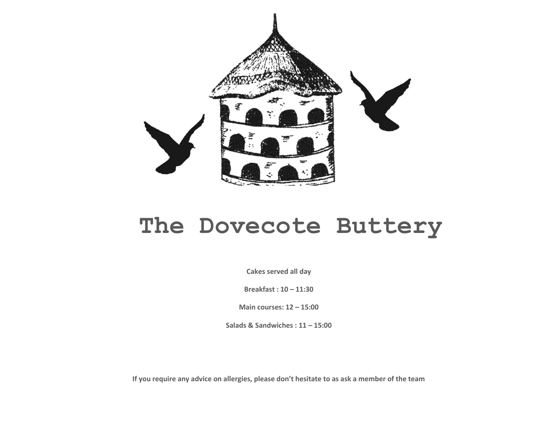

# **The Dovecote Buttery**

**Cakes served all day**

**Breakfast : 10 – 11:30**

**Main courses: 12 – 15:00**

**Salads & Sandwiches : 11 – 15:00**

**If you require any advice on allergies, please don't hesitate to as ask a member of the team**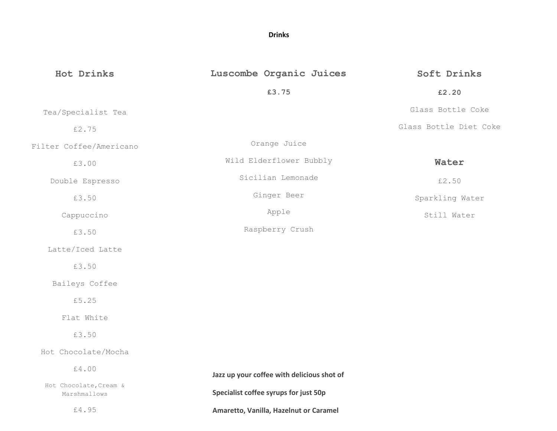## **Drinks**

| Hot Drinks                             | Luscombe Organic Juices                    | Soft Drinks            |
|----------------------------------------|--------------------------------------------|------------------------|
|                                        | £3.75                                      | £2.20                  |
| Tea/Specialist Tea                     |                                            | Glass Bottle Coke      |
| £2.75                                  |                                            | Glass Bottle Diet Coke |
| Filter Coffee/Americano                | Orange Juice                               |                        |
| £3.00                                  | Wild Elderflower Bubbly                    | Water                  |
| Double Espresso                        | Sicilian Lemonade                          | £2.50                  |
| £3.50                                  | Ginger Beer                                | Sparkling Water        |
| Cappuccino                             | Apple                                      | Still Water            |
| £3.50                                  | Raspberry Crush                            |                        |
| Latte/Iced Latte                       |                                            |                        |
| £3.50                                  |                                            |                        |
| Baileys Coffee                         |                                            |                        |
| £5.25                                  |                                            |                        |
| Flat White                             |                                            |                        |
| £3.50                                  |                                            |                        |
| Hot Chocolate/Mocha                    |                                            |                        |
| £4.00                                  | Jazz up your coffee with delicious shot of |                        |
| Hot Chocolate, Cream &<br>Marshmallows | Specialist coffee syrups for just 50p      |                        |
| £4.95                                  | Amaretto, Vanilla, Hazelnut or Caramel     |                        |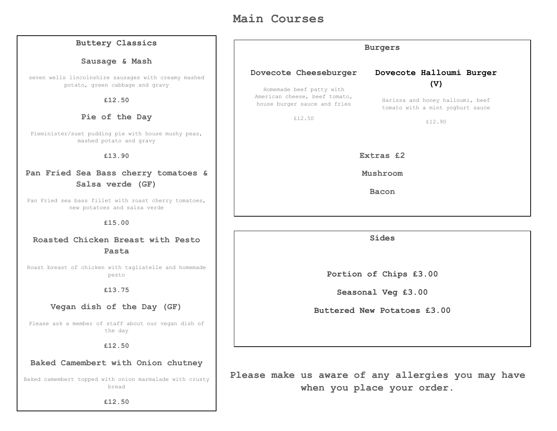# **Main Courses**

| <b>Buttery Classics</b>                                                                 | <b>Burgers</b>                                                                            |                                                                      |  |
|-----------------------------------------------------------------------------------------|-------------------------------------------------------------------------------------------|----------------------------------------------------------------------|--|
| Sausage & Mash                                                                          |                                                                                           |                                                                      |  |
| seven wells lincolnshire sausages with creamy mashed<br>potato, green cabbage and gravy | Dovecote Cheeseburger                                                                     | Dovecote Halloumi Burger<br>(V)                                      |  |
| £12.50                                                                                  | Homemade beef patty with<br>American cheese, beef tomato,<br>house burger sauce and fries | Harissa and honey halloumi, beef<br>tomato with a mint yoghurt sauce |  |
| Pie of the Day                                                                          | £12.50                                                                                    | £12.90                                                               |  |
| Pieminister/suet pudding pie with house mushy peas,<br>mashed potato and gravy          |                                                                                           |                                                                      |  |
| £13.90                                                                                  | Extras £2                                                                                 |                                                                      |  |
| Pan Fried Sea Bass cherry tomatoes &                                                    | Mushroom                                                                                  |                                                                      |  |
| Salsa verde (GF)                                                                        | <b>Bacon</b>                                                                              |                                                                      |  |
| Pan Fried sea bass fillet with roast cherry tomatoes,<br>new potatoes and salsa verde   |                                                                                           |                                                                      |  |
| £15.00                                                                                  |                                                                                           |                                                                      |  |
| Roasted Chicken Breast with Pesto                                                       | Sides                                                                                     |                                                                      |  |
| Pasta                                                                                   |                                                                                           |                                                                      |  |
| Roast breast of chicken with tagliatelle and homemade<br>pesto                          | Portion of Chips £3.00                                                                    |                                                                      |  |
| £13.75                                                                                  | Seasonal Veg £3.00                                                                        |                                                                      |  |
| Vegan dish of the Day (GF)                                                              | Buttered New Potatoes £3.00                                                               |                                                                      |  |
| Please ask a member of staff about our vegan dish of<br>the day                         |                                                                                           |                                                                      |  |
| £12.50                                                                                  |                                                                                           |                                                                      |  |
| Baked Camembert with Onion chutney                                                      |                                                                                           |                                                                      |  |

**Please make us aware of any allergies you may have when you place your order.**

Baked camembert topped with onion marmalade with crusty bread

**£12.50**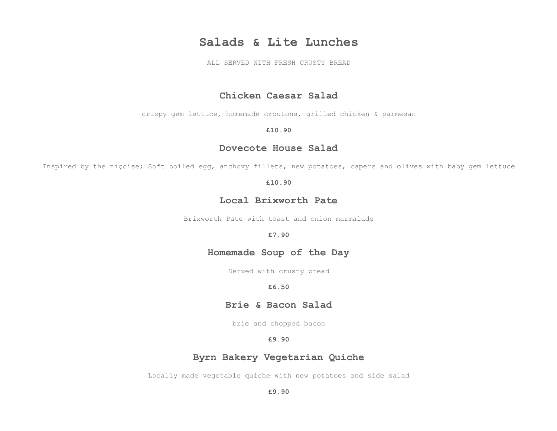## **Salads & Lite Lunches**

ALL SERVED WITH FRESH CRUSTY BREAD

## **Chicken Caesar Salad**

crispy gem lettuce, homemade croutons, grilled chicken & parmesan

#### **£10.90**

#### **Dovecote House Salad**

Inspired by the niçoise; Soft boiled egg, anchovy fillets, new potatoes, capers and olives with baby gem lettuce

#### **£10.90**

## **Local Brixworth Pate**

Brixworth Pate with toast and onion marmalade

#### **£7.90**

## **Homemade Soup of the Day**

Served with crusty bread

#### **£6.50**

### **Brie & Bacon Salad**

brie and chopped bacon

#### **£9.90**

## **Byrn Bakery Vegetarian Quiche**

Locally made vegetable quiche with new potatoes and side salad

**£9.90**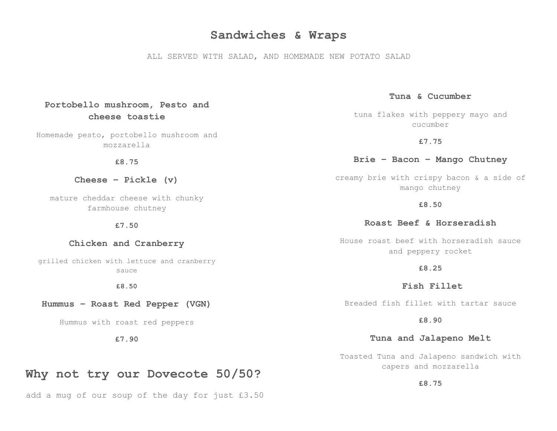## **Sandwiches & Wraps**

ALL SERVED WITH SALAD, AND HOMEMADE NEW POTATO SALAD

**Tuna & Cucumber**

tuna flakes with peppery mayo and cucumber

**£7.75**

#### **Brie – Bacon – Mango Chutney**

creamy brie with crispy bacon & a side of mango chutney

**£8.50**

**Roast Beef & Horseradish**

House roast beef with horseradish sauce and peppery rocket

**£8.25**

 **Fish Fillet**

Breaded fish fillet with tartar sauce

**£8.90**

#### **Tuna and Jalapeno Melt**

Toasted Tuna and Jalapeno sandwich with capers and mozzarella

**£8.75**

## **Portobello mushroom, Pesto and cheese toastie**

Homemade pesto, portobello mushroom and mozzarella

**£8.75**

**Cheese – Pickle (v)**

mature cheddar cheese with chunky farmhouse chutney

**£7.50**

#### **Chicken and Cranberry**

grilled chicken with lettuce and cranberry sauce

**£8.50**

#### **Hummus – Roast Red Pepper (VGN)**

Hummus with roast red peppers

**£7.90**

## **Why not try our Dovecote 50/50?**

add a mug of our soup of the day for just £3.50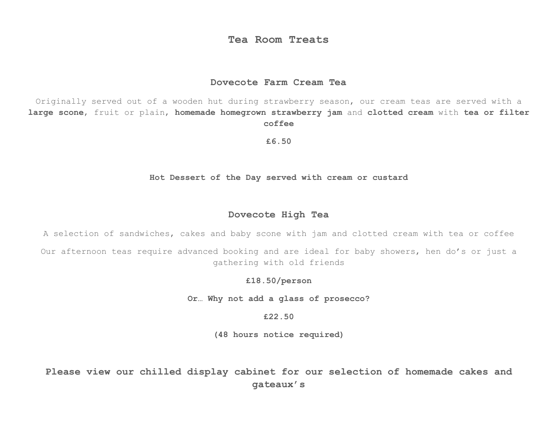## **Tea Room Treats**

## **Dovecote Farm Cream Tea**

Originally served out of a wooden hut during strawberry season, our cream teas are served with a **large scone**, fruit or plain, **homemade homegrown strawberry jam** and **clotted cream** with **tea or filter coffee**

**£6.50**

**Hot Dessert of the Day served with cream or custard**

#### **Dovecote High Tea**

A selection of sandwiches, cakes and baby scone with jam and clotted cream with tea or coffee

Our afternoon teas require advanced booking and are ideal for baby showers, hen do's or just a gathering with old friends

**£18.50/person**

**Or… Why not add a glass of prosecco?**

**£22.50**

**(48 hours notice required)**

**Please view our chilled display cabinet for our selection of homemade cakes and gateaux's**